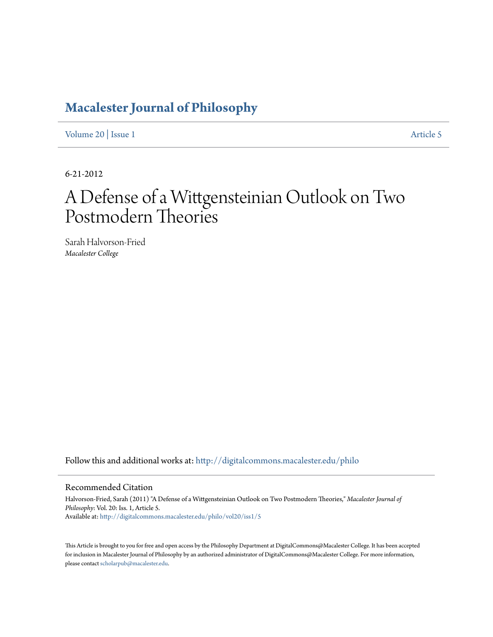# **[Macalester Journal of Philosophy](http://digitalcommons.macalester.edu/philo?utm_source=digitalcommons.macalester.edu%2Fphilo%2Fvol20%2Fiss1%2F5&utm_medium=PDF&utm_campaign=PDFCoverPages)**

[Volume 20](http://digitalcommons.macalester.edu/philo/vol20?utm_source=digitalcommons.macalester.edu%2Fphilo%2Fvol20%2Fiss1%2F5&utm_medium=PDF&utm_campaign=PDFCoverPages) | [Issue 1](http://digitalcommons.macalester.edu/philo/vol20/iss1?utm_source=digitalcommons.macalester.edu%2Fphilo%2Fvol20%2Fiss1%2F5&utm_medium=PDF&utm_campaign=PDFCoverPages) [Article 5](http://digitalcommons.macalester.edu/philo/vol20/iss1/5?utm_source=digitalcommons.macalester.edu%2Fphilo%2Fvol20%2Fiss1%2F5&utm_medium=PDF&utm_campaign=PDFCoverPages)

6-21-2012

# A Defense of a Wittgensteinian Outlook on Two Postmodern Theories

Sarah Halvorson-Fried *Macalester College*

Follow this and additional works at: [http://digitalcommons.macalester.edu/philo](http://digitalcommons.macalester.edu/philo?utm_source=digitalcommons.macalester.edu%2Fphilo%2Fvol20%2Fiss1%2F5&utm_medium=PDF&utm_campaign=PDFCoverPages)

#### Recommended Citation

Halvorson-Fried, Sarah (2011) "A Defense of a Wittgensteinian Outlook on Two Postmodern Theories," *Macalester Journal of Philosophy*: Vol. 20: Iss. 1, Article 5. Available at: [http://digitalcommons.macalester.edu/philo/vol20/iss1/5](http://digitalcommons.macalester.edu/philo/vol20/iss1/5?utm_source=digitalcommons.macalester.edu%2Fphilo%2Fvol20%2Fiss1%2F5&utm_medium=PDF&utm_campaign=PDFCoverPages)

This Article is brought to you for free and open access by the Philosophy Department at DigitalCommons@Macalester College. It has been accepted for inclusion in Macalester Journal of Philosophy by an authorized administrator of DigitalCommons@Macalester College. For more information, please contact [scholarpub@macalester.edu.](mailto:scholarpub@macalester.edu)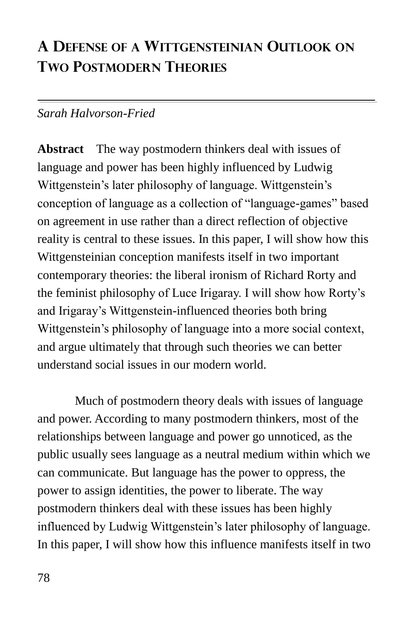# **A DEFENSE OF A WITTGENSTEINIAN OUTLOOK ON TWO POSTMODERN THEORIES**

## *Sarah Halvorson-Fried*

**Abstract** The way postmodern thinkers deal with issues of language and power has been highly influenced by Ludwig Wittgenstein's later philosophy of language. Wittgenstein's conception of language as a collection of "language-games" based on agreement in use rather than a direct reflection of objective reality is central to these issues. In this paper, I will show how this Wittgensteinian conception manifests itself in two important contemporary theories: the liberal ironism of Richard Rorty and the feminist philosophy of Luce Irigaray. I will show how Rorty's and Irigaray's Wittgenstein-influenced theories both bring Wittgenstein's philosophy of language into a more social context, and argue ultimately that through such theories we can better understand social issues in our modern world.

Much of postmodern theory deals with issues of language and power. According to many postmodern thinkers, most of the relationships between language and power go unnoticed, as the public usually sees language as a neutral medium within which we can communicate. But language has the power to oppress, the power to assign identities, the power to liberate. The way postmodern thinkers deal with these issues has been highly influenced by Ludwig Wittgenstein's later philosophy of language. In this paper, I will show how this influence manifests itself in two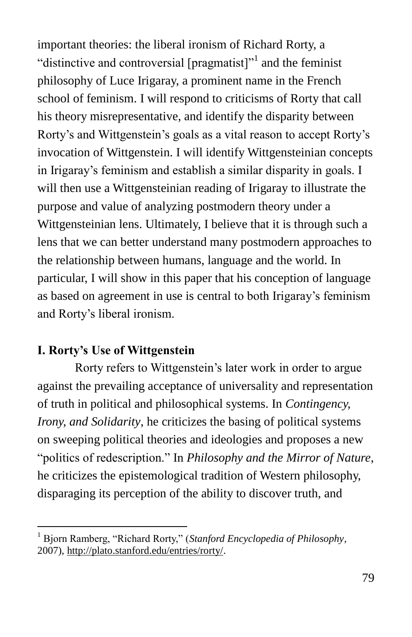important theories: the liberal ironism of Richard Rorty, a "distinctive and controversial [pragmatist]"<sup>1</sup> and the feminist philosophy of Luce Irigaray, a prominent name in the French school of feminism. I will respond to criticisms of Rorty that call his theory misrepresentative, and identify the disparity between Rorty's and Wittgenstein's goals as a vital reason to accept Rorty's invocation of Wittgenstein. I will identify Wittgensteinian concepts in Irigaray's feminism and establish a similar disparity in goals. I will then use a Wittgensteinian reading of Irigaray to illustrate the purpose and value of analyzing postmodern theory under a Wittgensteinian lens. Ultimately, I believe that it is through such a lens that we can better understand many postmodern approaches to the relationship between humans, language and the world. In particular, I will show in this paper that his conception of language as based on agreement in use is central to both Irigaray's feminism and Rorty's liberal ironism.

#### **I. Rorty's Use of Wittgenstein**

 $\overline{a}$ 

Rorty refers to Wittgenstein's later work in order to argue against the prevailing acceptance of universality and representation of truth in political and philosophical systems. In *Contingency, Irony, and Solidarity, he criticizes the basing of political systems* on sweeping political theories and ideologies and proposes a new ―politics of redescription.‖ In *Philosophy and the Mirror of Nature*, he criticizes the epistemological tradition of Western philosophy, disparaging its perception of the ability to discover truth, and

Bjorn Ramberg, "Richard Rorty," (*Stanford Encyclopedia of Philosophy*, 2007), [http://plato.stanford.edu/entries/rorty/.](http://plato.stanford.edu/entries/rorty/)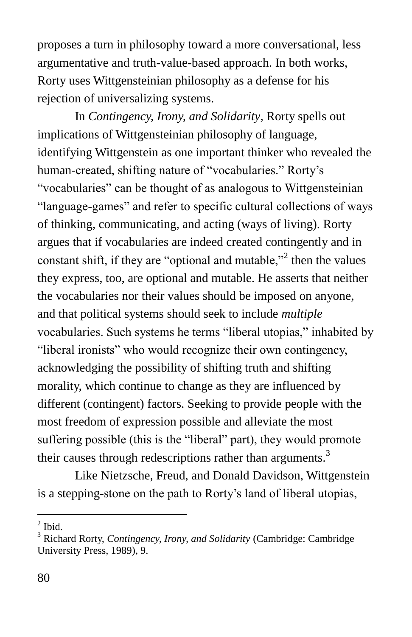proposes a turn in philosophy toward a more conversational, less argumentative and truth-value-based approach. In both works, Rorty uses Wittgensteinian philosophy as a defense for his rejection of universalizing systems.

In *Contingency, Irony, and Solidarity*, Rorty spells out implications of Wittgensteinian philosophy of language, identifying Wittgenstein as one important thinker who revealed the human-created, shifting nature of "vocabularies." Rorty's ―vocabularies‖ can be thought of as analogous to Wittgensteinian "language-games" and refer to specific cultural collections of ways of thinking, communicating, and acting (ways of living). Rorty argues that if vocabularies are indeed created contingently and in constant shift, if they are "optional and mutable,"  $2^2$  then the values they express, too, are optional and mutable. He asserts that neither the vocabularies nor their values should be imposed on anyone, and that political systems should seek to include *multiple* vocabularies. Such systems he terms "liberal utopias," inhabited by "liberal ironists" who would recognize their own contingency, acknowledging the possibility of shifting truth and shifting morality, which continue to change as they are influenced by different (contingent) factors. Seeking to provide people with the most freedom of expression possible and alleviate the most suffering possible (this is the "liberal" part), they would promote their causes through redescriptions rather than arguments.<sup>3</sup>

Like Nietzsche, Freud, and Donald Davidson, Wittgenstein is a stepping-stone on the path to Rorty's land of liberal utopias,

 $<sup>2</sup>$  Ibid.</sup>

<sup>3</sup> Richard Rorty, *Contingency, Irony, and Solidarity* (Cambridge: Cambridge University Press, 1989), 9.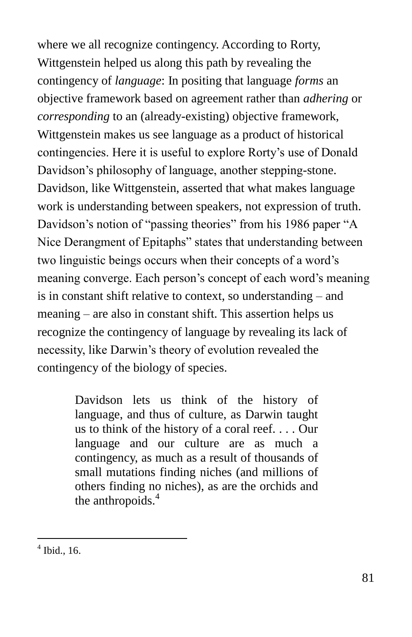where we all recognize contingency. According to Rorty, Wittgenstein helped us along this path by revealing the contingency of *language*: In positing that language *forms* an objective framework based on agreement rather than *adhering* or *corresponding* to an (already-existing) objective framework, Wittgenstein makes us see language as a product of historical contingencies. Here it is useful to explore Rorty's use of Donald Davidson's philosophy of language, another stepping-stone. Davidson, like Wittgenstein, asserted that what makes language work is understanding between speakers, not expression of truth. Davidson's notion of "passing theories" from his 1986 paper "A Nice Derangment of Epitaphs" states that understanding between two linguistic beings occurs when their concepts of a word's meaning converge. Each person's concept of each word's meaning is in constant shift relative to context, so understanding – and meaning – are also in constant shift. This assertion helps us recognize the contingency of language by revealing its lack of necessity, like Darwin's theory of evolution revealed the contingency of the biology of species.

> Davidson lets us think of the history of language, and thus of culture, as Darwin taught us to think of the history of a coral reef. . . . Our language and our culture are as much a contingency, as much as a result of thousands of small mutations finding niches (and millions of others finding no niches), as are the orchids and the anthropoids.<sup>4</sup>

 4 Ibid., 16.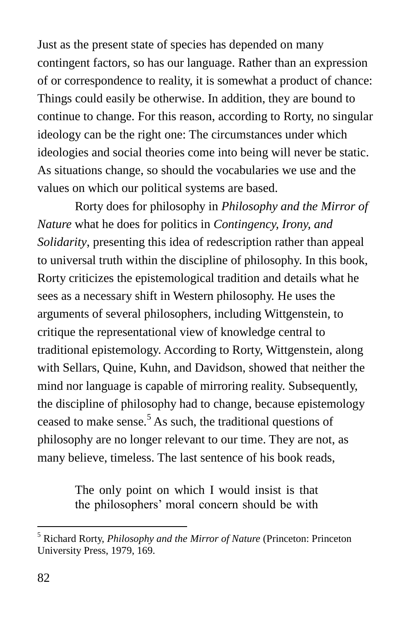Just as the present state of species has depended on many contingent factors, so has our language. Rather than an expression of or correspondence to reality, it is somewhat a product of chance: Things could easily be otherwise. In addition, they are bound to continue to change. For this reason, according to Rorty, no singular ideology can be the right one: The circumstances under which ideologies and social theories come into being will never be static. As situations change, so should the vocabularies we use and the values on which our political systems are based.

Rorty does for philosophy in *Philosophy and the Mirror of Nature* what he does for politics in *Contingency, Irony, and Solidarity*, presenting this idea of redescription rather than appeal to universal truth within the discipline of philosophy. In this book, Rorty criticizes the epistemological tradition and details what he sees as a necessary shift in Western philosophy. He uses the arguments of several philosophers, including Wittgenstein, to critique the representational view of knowledge central to traditional epistemology. According to Rorty, Wittgenstein, along with Sellars, Quine, Kuhn, and Davidson, showed that neither the mind nor language is capable of mirroring reality. Subsequently, the discipline of philosophy had to change, because epistemology ceased to make sense.<sup>5</sup> As such, the traditional questions of philosophy are no longer relevant to our time. They are not, as many believe, timeless. The last sentence of his book reads,

> The only point on which I would insist is that the philosophers' moral concern should be with

<sup>5</sup> Richard Rorty, *Philosophy and the Mirror of Nature* (Princeton: Princeton University Press, 1979, 169.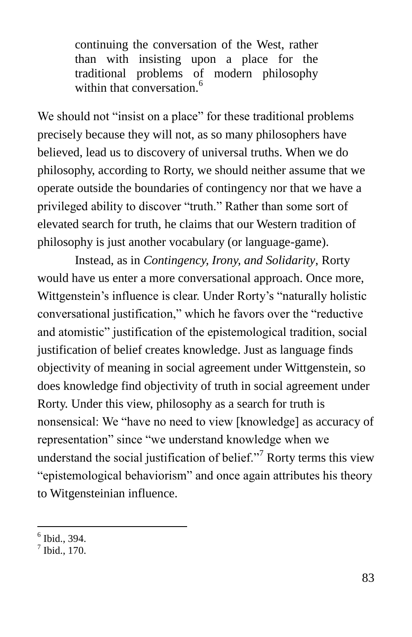continuing the conversation of the West, rather than with insisting upon a place for the traditional problems of modern philosophy within that conversation.<sup>6</sup>

We should not "insist on a place" for these traditional problems precisely because they will not, as so many philosophers have believed, lead us to discovery of universal truths. When we do philosophy, according to Rorty, we should neither assume that we operate outside the boundaries of contingency nor that we have a privileged ability to discover "truth." Rather than some sort of elevated search for truth, he claims that our Western tradition of philosophy is just another vocabulary (or language-game).

Instead, as in *Contingency, Irony, and Solidarity*, Rorty would have us enter a more conversational approach. Once more, Wittgenstein's influence is clear. Under Rorty's "naturally holistic conversational justification," which he favors over the "reductive" and atomistic" justification of the epistemological tradition, social justification of belief creates knowledge. Just as language finds objectivity of meaning in social agreement under Wittgenstein, so does knowledge find objectivity of truth in social agreement under Rorty. Under this view, philosophy as a search for truth is nonsensical: We "have no need to view [knowledge] as accuracy of representation" since "we understand knowledge when we understand the social justification of belief. $\cdot$ <sup>7</sup> Rorty terms this view "epistemological behaviorism" and once again attributes his theory to Witgensteinian influence.

<sup>6</sup> Ibid., 394.

 $<sup>7</sup>$  Ibid., 170.</sup>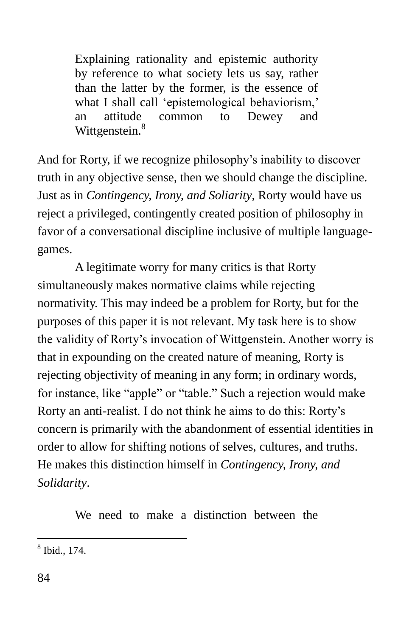Explaining rationality and epistemic authority by reference to what society lets us say, rather than the latter by the former, is the essence of what I shall call 'epistemological behaviorism,' an attitude common to Dewey and Wittgenstein.<sup>8</sup>

And for Rorty, if we recognize philosophy's inability to discover truth in any objective sense, then we should change the discipline. Just as in *Contingency, Irony, and Soliarity*, Rorty would have us reject a privileged, contingently created position of philosophy in favor of a conversational discipline inclusive of multiple languagegames.

A legitimate worry for many critics is that Rorty simultaneously makes normative claims while rejecting normativity. This may indeed be a problem for Rorty, but for the purposes of this paper it is not relevant. My task here is to show the validity of Rorty's invocation of Wittgenstein. Another worry is that in expounding on the created nature of meaning, Rorty is rejecting objectivity of meaning in any form; in ordinary words, for instance, like "apple" or "table." Such a rejection would make Rorty an anti-realist. I do not think he aims to do this: Rorty's concern is primarily with the abandonment of essential identities in order to allow for shifting notions of selves, cultures, and truths. He makes this distinction himself in *Contingency, Irony, and Solidarity*.

We need to make a distinction between the

 8 Ibid., 174.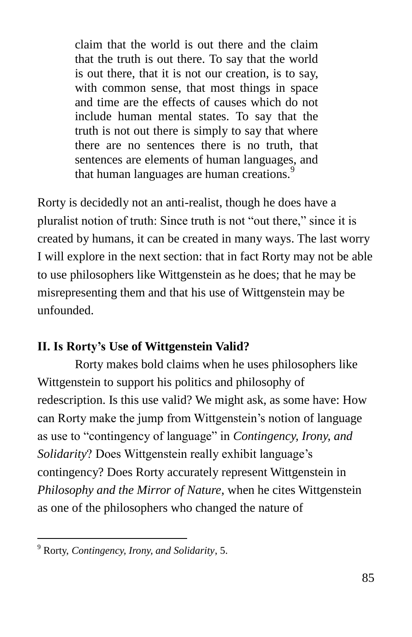claim that the world is out there and the claim that the truth is out there. To say that the world is out there, that it is not our creation, is to say, with common sense, that most things in space and time are the effects of causes which do not include human mental states. To say that the truth is not out there is simply to say that where there are no sentences there is no truth, that sentences are elements of human languages, and that human languages are human creations.<sup>9</sup>

Rorty is decidedly not an anti-realist, though he does have a pluralist notion of truth: Since truth is not "out there," since it is created by humans, it can be created in many ways. The last worry I will explore in the next section: that in fact Rorty may not be able to use philosophers like Wittgenstein as he does; that he may be misrepresenting them and that his use of Wittgenstein may be unfounded.

## **II. Is Rorty's Use of Wittgenstein Valid?**

Rorty makes bold claims when he uses philosophers like Wittgenstein to support his politics and philosophy of redescription. Is this use valid? We might ask, as some have: How can Rorty make the jump from Wittgenstein's notion of language as use to "contingency of language" in *Contingency, Irony, and Solidarity*? Does Wittgenstein really exhibit language's contingency? Does Rorty accurately represent Wittgenstein in *Philosophy and the Mirror of Nature*, when he cites Wittgenstein as one of the philosophers who changed the nature of

<sup>9</sup> Rorty, *Contingency, Irony, and Solidarity*, 5.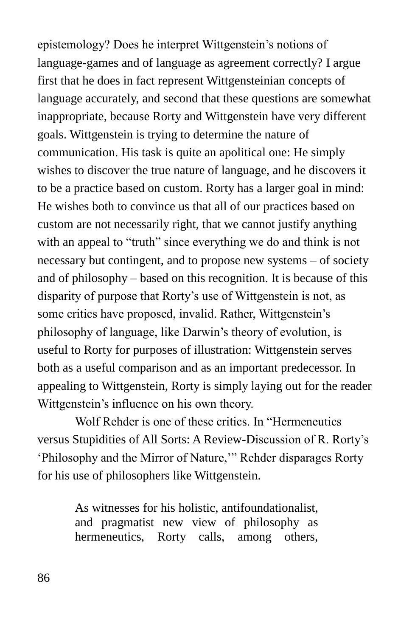epistemology? Does he interpret Wittgenstein's notions of language-games and of language as agreement correctly? I argue first that he does in fact represent Wittgensteinian concepts of language accurately, and second that these questions are somewhat inappropriate, because Rorty and Wittgenstein have very different goals. Wittgenstein is trying to determine the nature of communication. His task is quite an apolitical one: He simply wishes to discover the true nature of language, and he discovers it to be a practice based on custom. Rorty has a larger goal in mind: He wishes both to convince us that all of our practices based on custom are not necessarily right, that we cannot justify anything with an appeal to "truth" since everything we do and think is not necessary but contingent, and to propose new systems – of society and of philosophy – based on this recognition. It is because of this disparity of purpose that Rorty's use of Wittgenstein is not, as some critics have proposed, invalid. Rather, Wittgenstein's philosophy of language, like Darwin's theory of evolution, is useful to Rorty for purposes of illustration: Wittgenstein serves both as a useful comparison and as an important predecessor. In appealing to Wittgenstein, Rorty is simply laying out for the reader Wittgenstein's influence on his own theory.

Wolf Rehder is one of these critics. In "Hermeneutics" versus Stupidities of All Sorts: A Review-Discussion of R. Rorty's Philosophy and the Mirror of Nature," Rehder disparages Rorty for his use of philosophers like Wittgenstein.

> As witnesses for his holistic, antifoundationalist, and pragmatist new view of philosophy as hermeneutics, Rorty calls, among others,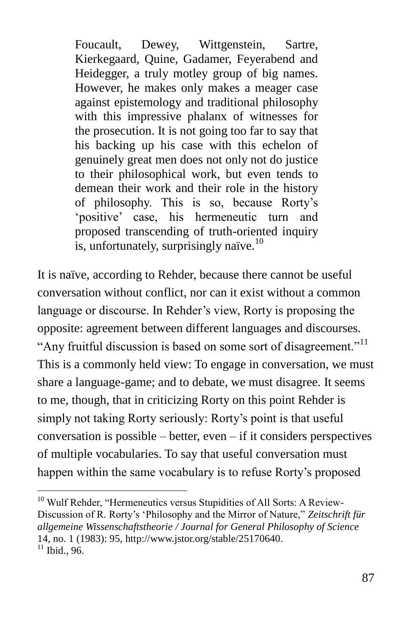Foucault, Dewey, Wittgenstein, Sartre, Kierkegaard, Quine, Gadamer, Feyerabend and Heidegger, a truly motley group of big names. However, he makes only makes a meager case against epistemology and traditional philosophy with this impressive phalanx of witnesses for the prosecution. It is not going too far to say that his backing up his case with this echelon of genuinely great men does not only not do justice to their philosophical work, but even tends to demean their work and their role in the history of philosophy. This is so, because Rorty's ‗positive' case, his hermeneutic turn and proposed transcending of truth-oriented inquiry is, unfortunately, surprisingly naïve.<sup>10</sup>

It is naïve, according to Rehder, because there cannot be useful conversation without conflict, nor can it exist without a common language or discourse. In Rehder's view, Rorty is proposing the opposite: agreement between different languages and discourses. "Any fruitful discussion is based on some sort of disagreement."<sup>11</sup> This is a commonly held view: To engage in conversation, we must share a language-game; and to debate, we must disagree. It seems to me, though, that in criticizing Rorty on this point Rehder is simply not taking Rorty seriously: Rorty's point is that useful conversation is possible – better, even – if it considers perspectives of multiple vocabularies. To say that useful conversation must happen within the same vocabulary is to refuse Rorty's proposed

 $10$  Wulf Rehder, "Hermeneutics versus Stupidities of All Sorts: A Review-Discussion of R. Rorty's 'Philosophy and the Mirror of Nature," Zeitschrift für *allgemeine Wissenschaftstheorie / Journal for General Philosophy of Science* 14, no. 1 (1983): 95, [http://www.jstor.org/stable/25170640.](http://www.jstor.org/stable/25170640)  $11$  Ibid., 96.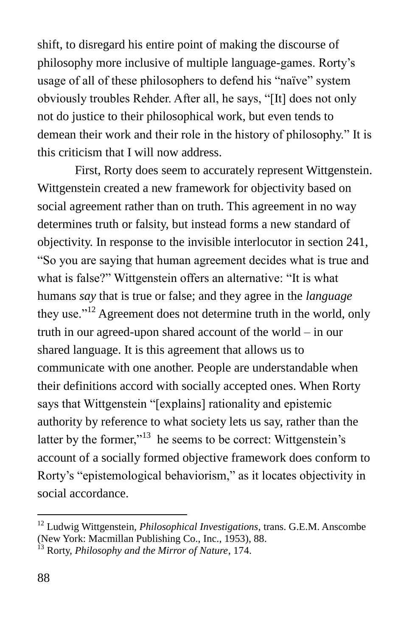shift, to disregard his entire point of making the discourse of philosophy more inclusive of multiple language-games. Rorty's usage of all of these philosophers to defend his "naïve" system obviously troubles Rehder. After all, he says, "[It] does not only not do justice to their philosophical work, but even tends to demean their work and their role in the history of philosophy." It is this criticism that I will now address.

First, Rorty does seem to accurately represent Wittgenstein. Wittgenstein created a new framework for objectivity based on social agreement rather than on truth. This agreement in no way determines truth or falsity, but instead forms a new standard of objectivity. In response to the invisible interlocutor in section 241, ―So you are saying that human agreement decides what is true and what is false?" Wittgenstein offers an alternative: "It is what humans *say* that is true or false; and they agree in the *language* they use.<sup> $12$ </sup> Agreement does not determine truth in the world, only truth in our agreed-upon shared account of the world – in our shared language. It is this agreement that allows us to communicate with one another. People are understandable when their definitions accord with socially accepted ones. When Rorty says that Wittgenstein "[explains] rationality and epistemic authority by reference to what society lets us say, rather than the latter by the former,"<sup>13</sup> he seems to be correct: Wittgenstein's account of a socially formed objective framework does conform to Rorty's "epistemological behaviorism," as it locates objectivity in social accordance.

<sup>12</sup> Ludwig Wittgenstein, *Philosophical Investigations*, trans. G.E.M. Anscombe (New York: Macmillan Publishing Co., Inc., 1953), 88.

<sup>13</sup> Rorty, *Philosophy and the Mirror of Nature*, 174.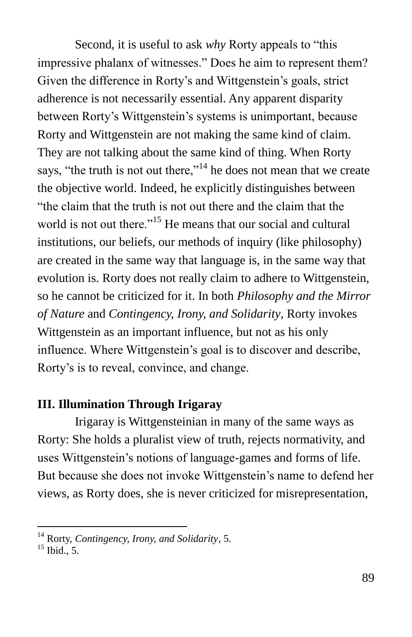Second, it is useful to ask *why* Rorty appeals to "this" impressive phalanx of witnesses." Does he aim to represent them? Given the difference in Rorty's and Wittgenstein's goals, strict adherence is not necessarily essential. Any apparent disparity between Rorty's Wittgenstein's systems is unimportant, because Rorty and Wittgenstein are not making the same kind of claim. They are not talking about the same kind of thing. When Rorty says, "the truth is not out there,"<sup>14</sup> he does not mean that we create the objective world. Indeed, he explicitly distinguishes between "the claim that the truth is not out there and the claim that the world is not out there."<sup>15</sup> He means that our social and cultural institutions, our beliefs, our methods of inquiry (like philosophy) are created in the same way that language is, in the same way that evolution is. Rorty does not really claim to adhere to Wittgenstein, so he cannot be criticized for it. In both *Philosophy and the Mirror of Nature* and *Contingency, Irony, and Solidarity*, Rorty invokes Wittgenstein as an important influence, but not as his only influence. Where Wittgenstein's goal is to discover and describe, Rorty's is to reveal, convince, and change.

#### **III. Illumination Through Irigaray**

Irigaray is Wittgensteinian in many of the same ways as Rorty: She holds a pluralist view of truth, rejects normativity, and uses Wittgenstein's notions of language-games and forms of life. But because she does not invoke Wittgenstein's name to defend her views, as Rorty does, she is never criticized for misrepresentation,

<sup>14</sup> Rorty, *Contingency, Irony, and Solidarity*, 5.

 $^{15}$  Ibid., 5.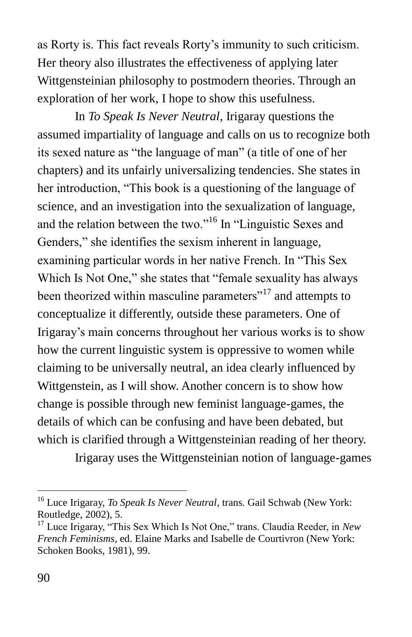as Rorty is. This fact reveals Rorty's immunity to such criticism. Her theory also illustrates the effectiveness of applying later Wittgensteinian philosophy to postmodern theories. Through an exploration of her work, I hope to show this usefulness.

In *To Speak Is Never Neutral*, Irigaray questions the assumed impartiality of language and calls on us to recognize both its sexed nature as "the language of man" (a title of one of her chapters) and its unfairly universalizing tendencies. She states in her introduction, "This book is a questioning of the language of science, and an investigation into the sexualization of language, and the relation between the two."<sup>16</sup> In "Linguistic Sexes and Genders," she identifies the sexism inherent in language, examining particular words in her native French. In "This Sex Which Is Not One," she states that "female sexuality has always been theorized within masculine parameters $17$  and attempts to conceptualize it differently, outside these parameters. One of Irigaray's main concerns throughout her various works is to show how the current linguistic system is oppressive to women while claiming to be universally neutral, an idea clearly influenced by Wittgenstein, as I will show. Another concern is to show how change is possible through new feminist language-games, the details of which can be confusing and have been debated, but which is clarified through a Wittgensteinian reading of her theory.

Irigaray uses the Wittgensteinian notion of language-games

<sup>16</sup> Luce Irigaray, *To Speak Is Never Neutral*, trans. Gail Schwab (New York: Routledge, 2002), 5.

 $17$  Luce Irigaray, "This Sex Which Is Not One," trans. Claudia Reeder, in *New French Feminisms*, ed. Elaine Marks and Isabelle de Courtivron (New York: Schoken Books, 1981), 99.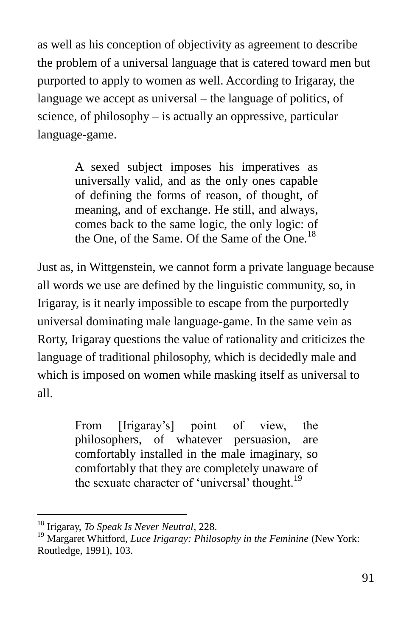as well as his conception of objectivity as agreement to describe the problem of a universal language that is catered toward men but purported to apply to women as well. According to Irigaray, the language we accept as universal – the language of politics, of science, of philosophy – is actually an oppressive, particular language-game.

> A sexed subject imposes his imperatives as universally valid, and as the only ones capable of defining the forms of reason, of thought, of meaning, and of exchange. He still, and always, comes back to the same logic, the only logic: of the One, of the Same. Of the Same of the One.<sup>18</sup>

Just as, in Wittgenstein, we cannot form a private language because all words we use are defined by the linguistic community, so, in Irigaray, is it nearly impossible to escape from the purportedly universal dominating male language-game. In the same vein as Rorty, Irigaray questions the value of rationality and criticizes the language of traditional philosophy, which is decidedly male and which is imposed on women while masking itself as universal to all.

> From [Irigaray's] point of view, the philosophers, of whatever persuasion, are comfortably installed in the male imaginary, so comfortably that they are completely unaware of the sexuate character of 'universal' thought.<sup>19</sup>

<sup>18</sup> Irigaray, *To Speak Is Never Neutral*, 228.

<sup>&</sup>lt;sup>19</sup> Margaret Whitford, *Luce Irigaray: Philosophy in the Feminine* (New York: Routledge, 1991), 103.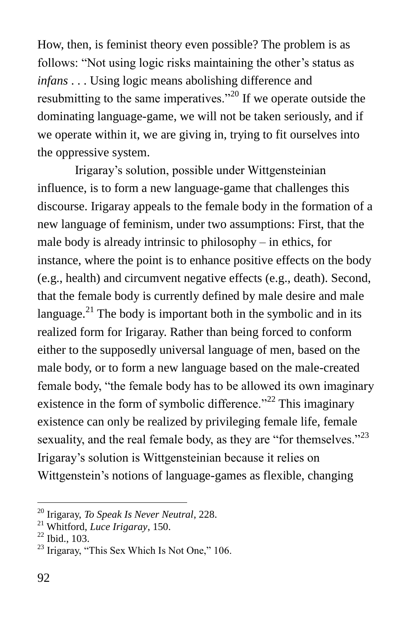How, then, is feminist theory even possible? The problem is as follows: "Not using logic risks maintaining the other's status as *infans* . . . Using logic means abolishing difference and resubmitting to the same imperatives.<sup> $20$ </sup> If we operate outside the dominating language-game, we will not be taken seriously, and if we operate within it, we are giving in, trying to fit ourselves into the oppressive system.

Irigaray's solution, possible under Wittgensteinian influence, is to form a new language-game that challenges this discourse. Irigaray appeals to the female body in the formation of a new language of feminism, under two assumptions: First, that the male body is already intrinsic to philosophy – in ethics, for instance, where the point is to enhance positive effects on the body (e.g., health) and circumvent negative effects (e.g., death). Second, that the female body is currently defined by male desire and male language. $^{21}$  The body is important both in the symbolic and in its realized form for Irigaray. Rather than being forced to conform either to the supposedly universal language of men, based on the male body, or to form a new language based on the male-created female body, "the female body has to be allowed its own imaginary existence in the form of symbolic difference.<sup> $22$ </sup> This imaginary existence can only be realized by privileging female life, female sexuality, and the real female body, as they are "for themselves." $23$ Irigaray's solution is Wittgensteinian because it relies on Wittgenstein's notions of language-games as flexible, changing

<sup>20</sup> Irigaray, *To Speak Is Never Neutral*, 228.

<sup>21</sup> Whitford, *Luce Irigaray*, 150.

 $^{22}$  Ibid., 103.

 $23$  Irigaray, "This Sex Which Is Not One," 106.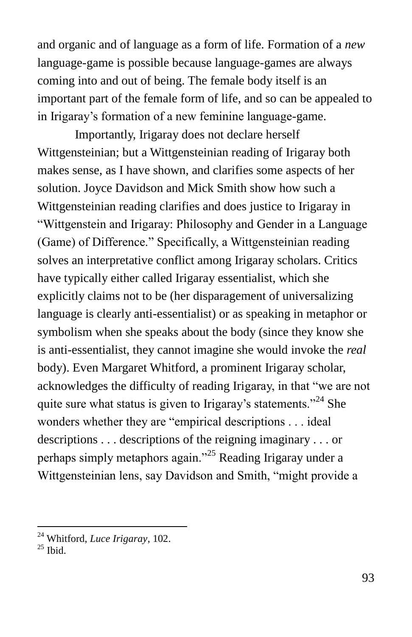and organic and of language as a form of life. Formation of a *new*  language-game is possible because language-games are always coming into and out of being. The female body itself is an important part of the female form of life, and so can be appealed to in Irigaray's formation of a new feminine language-game.

Importantly, Irigaray does not declare herself Wittgensteinian; but a Wittgensteinian reading of Irigaray both makes sense, as I have shown, and clarifies some aspects of her solution. Joyce Davidson and Mick Smith show how such a Wittgensteinian reading clarifies and does justice to Irigaray in ―Wittgenstein and Irigaray: Philosophy and Gender in a Language (Game) of Difference." Specifically, a Wittgensteinian reading solves an interpretative conflict among Irigaray scholars. Critics have typically either called Irigaray essentialist, which she explicitly claims not to be (her disparagement of universalizing language is clearly anti-essentialist) or as speaking in metaphor or symbolism when she speaks about the body (since they know she is anti-essentialist, they cannot imagine she would invoke the *real* body). Even Margaret Whitford, a prominent Irigaray scholar, acknowledges the difficulty of reading Irigaray, in that "we are not quite sure what status is given to Irigaray's statements."<sup>24</sup> She wonders whether they are "empirical descriptions . . . ideal descriptions . . . descriptions of the reigning imaginary . . . or perhaps simply metaphors again.<sup>25</sup> Reading Irigaray under a Wittgensteinian lens, say Davidson and Smith, "might provide a

<sup>24</sup> Whitford, *Luce Irigaray*, 102.

 $25$  Ibid.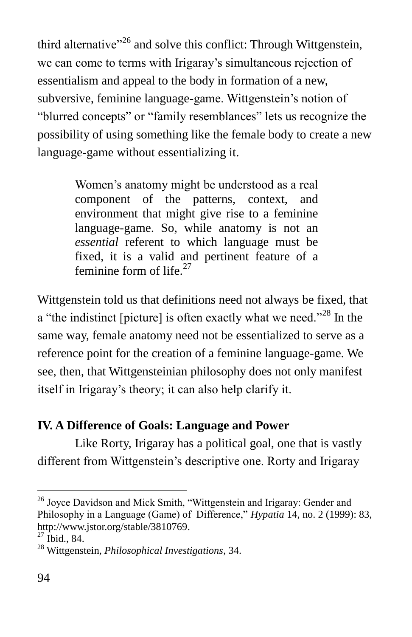third alternative<sup> $26$ </sup> and solve this conflict: Through Wittgenstein, we can come to terms with Irigaray's simultaneous rejection of essentialism and appeal to the body in formation of a new, subversive, feminine language-game. Wittgenstein's notion of "blurred concepts" or "family resemblances" lets us recognize the possibility of using something like the female body to create a new language-game without essentializing it.

> Women's anatomy might be understood as a real component of the patterns, context, and environment that might give rise to a feminine language-game. So, while anatomy is not an *essential* referent to which language must be fixed, it is a valid and pertinent feature of a feminine form of life. $27$

Wittgenstein told us that definitions need not always be fixed, that a "the indistinct [picture] is often exactly what we need."<sup>28</sup> In the same way, female anatomy need not be essentialized to serve as a reference point for the creation of a feminine language-game. We see, then, that Wittgensteinian philosophy does not only manifest itself in Irigaray's theory; it can also help clarify it.

## **IV. A Difference of Goals: Language and Power**

Like Rorty, Irigaray has a political goal, one that is vastly different from Wittgenstein's descriptive one. Rorty and Irigaray

 $26$  Joyce Davidson and Mick Smith, "Wittgenstein and Irigaray: Gender and Philosophy in a Language (Game) of Difference," *Hypatia* 14, no. 2 (1999): 83, [http://www.jstor.org/stable/3810769.](http://www.jstor.org/stable/3810769)

 $27$  Ibid., 84.

<sup>28</sup> Wittgenstein, *Philosophical Investigations*, 34.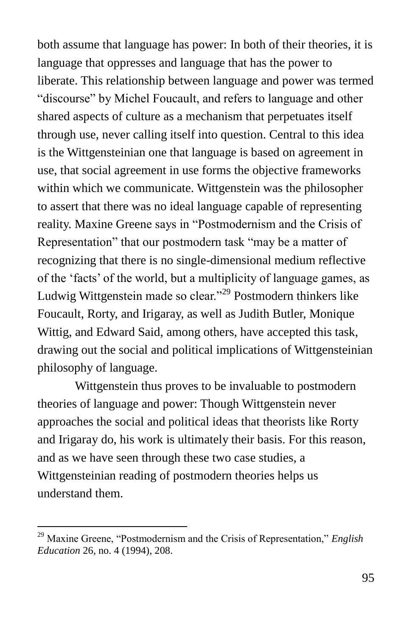both assume that language has power: In both of their theories, it is language that oppresses and language that has the power to liberate. This relationship between language and power was termed "discourse" by Michel Foucault, and refers to language and other shared aspects of culture as a mechanism that perpetuates itself through use, never calling itself into question. Central to this idea is the Wittgensteinian one that language is based on agreement in use, that social agreement in use forms the objective frameworks within which we communicate. Wittgenstein was the philosopher to assert that there was no ideal language capable of representing reality. Maxine Greene says in "Postmodernism and the Crisis of Representation" that our postmodern task "may be a matter of recognizing that there is no single-dimensional medium reflective of the ‗facts' of the world, but a multiplicity of language games, as Ludwig Wittgenstein made so clear."<sup>29</sup> Postmodern thinkers like Foucault, Rorty, and Irigaray, as well as Judith Butler, Monique Wittig, and Edward Said, among others, have accepted this task, drawing out the social and political implications of Wittgensteinian philosophy of language.

Wittgenstein thus proves to be invaluable to postmodern theories of language and power: Though Wittgenstein never approaches the social and political ideas that theorists like Rorty and Irigaray do, his work is ultimately their basis. For this reason, and as we have seen through these two case studies, a Wittgensteinian reading of postmodern theories helps us understand them.

<sup>&</sup>lt;sup>29</sup> Maxine Greene, "Postmodernism and the Crisis of Representation," *English Education* 26, no. 4 (1994), 208.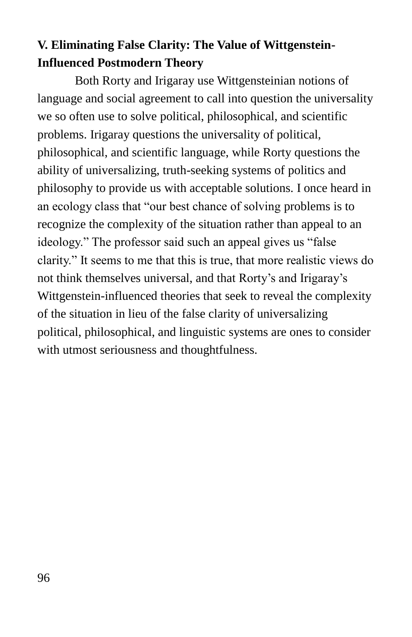# **V. Eliminating False Clarity: The Value of Wittgenstein-Influenced Postmodern Theory**

Both Rorty and Irigaray use Wittgensteinian notions of language and social agreement to call into question the universality we so often use to solve political, philosophical, and scientific problems. Irigaray questions the universality of political, philosophical, and scientific language, while Rorty questions the ability of universalizing, truth-seeking systems of politics and philosophy to provide us with acceptable solutions. I once heard in an ecology class that "our best chance of solving problems is to recognize the complexity of the situation rather than appeal to an ideology." The professor said such an appeal gives us "false" clarity.‖ It seems to me that this is true, that more realistic views do not think themselves universal, and that Rorty's and Irigaray's Wittgenstein-influenced theories that seek to reveal the complexity of the situation in lieu of the false clarity of universalizing political, philosophical, and linguistic systems are ones to consider with utmost seriousness and thoughtfulness.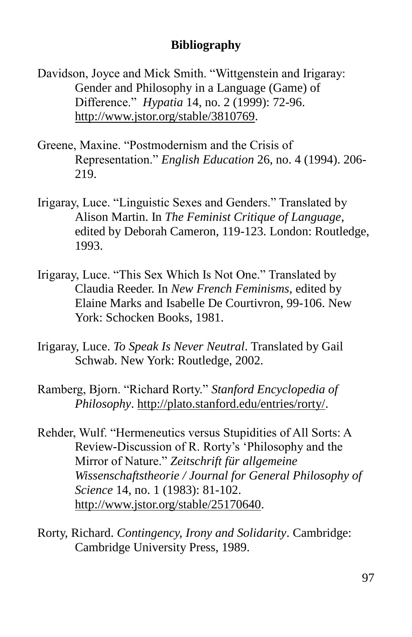#### **Bibliography**

- Davidson, Joyce and Mick Smith. "Wittgenstein and Irigaray: Gender and Philosophy in a Language (Game) of Difference.‖ *Hypatia* 14, no. 2 (1999): 72-96. [http://www.jstor.org/stable/3810769.](http://www.jstor.org/stable/3810769)
- Greene, Maxine. "Postmodernism and the Crisis of Representation.‖ *English Education* 26, no. 4 (1994). 206- 219.
- Irigaray, Luce. "Linguistic Sexes and Genders." Translated by Alison Martin. In *The Feminist Critique of Language*, edited by Deborah Cameron, 119-123. London: Routledge, 1993.
- Irigaray, Luce. "This Sex Which Is Not One." Translated by Claudia Reeder. In *New French Feminisms*, edited by Elaine Marks and Isabelle De Courtivron, 99-106. New York: Schocken Books, 1981.
- Irigaray, Luce. *To Speak Is Never Neutral*. Translated by Gail Schwab. New York: Routledge, 2002.
- Ramberg, Bjorn. "Richard Rorty." *Stanford Encyclopedia of Philosophy*. [http://plato.stanford.edu/entries/rorty/.](http://plato.stanford.edu/entries/rorty/)
- Rehder, Wulf. "Hermeneutics versus Stupidities of All Sorts: A Review-Discussion of R. Rorty's 'Philosophy and the Mirror of Nature." Zeitschrift für allgemeine *Wissenschaftstheorie / Journal for General Philosophy of Science* 14, no. 1 (1983): 81-102. [http://www.jstor.org/stable/25170640.](http://www.jstor.org/stable/25170640)
- Rorty, Richard. *Contingency, Irony and Solidarity*. Cambridge: Cambridge University Press, 1989.